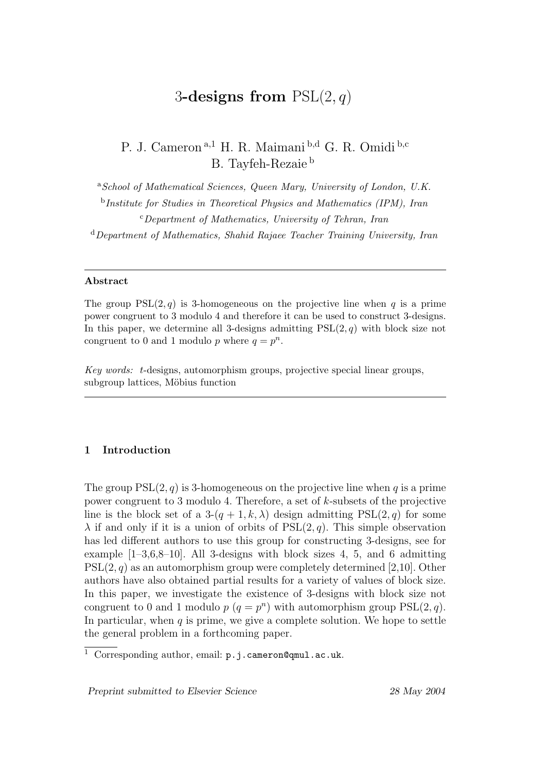# 3-designs from  $PSL(2, q)$

P. J. Cameron a,1 H. R. Maimani b,d G. R. Omidi b,c B. Tayfeh-Rezaie <sup>b</sup>

<sup>a</sup>School of Mathematical Sciences, Queen Mary, University of London, U.K. <sup>b</sup>Institute for Studies in Theoretical Physics and Mathematics (IPM), Iran  $c$ Department of Mathematics, University of Tehran, Iran  $d$ Department of Mathematics, Shahid Rajaee Teacher Training University, Iran

#### Abstract

The group  $PSL(2, q)$  is 3-homogeneous on the projective line when q is a prime power congruent to 3 modulo 4 and therefore it can be used to construct 3-designs. In this paper, we determine all 3-designs admitting  $PSL(2, q)$  with block size not congruent to 0 and 1 modulo p where  $q = p^n$ .

Key words: t-designs, automorphism groups, projective special linear groups, subgroup lattices, Möbius function

## 1 Introduction

The group  $PSL(2, q)$  is 3-homogeneous on the projective line when q is a prime power congruent to 3 modulo 4. Therefore, a set of  $k$ -subsets of the projective line is the block set of a  $3-(q+1,k,\lambda)$  design admitting  $PSL(2,q)$  for some  $\lambda$  if and only if it is a union of orbits of  $PSL(2, q)$ . This simple observation has led different authors to use this group for constructing 3-designs, see for example  $[1-3,6,8-10]$ . All 3-designs with block sizes 4, 5, and 6 admitting  $PSL(2, q)$  as an automorphism group were completely determined [2,10]. Other authors have also obtained partial results for a variety of values of block size. In this paper, we investigate the existence of 3-designs with block size not congruent to 0 and 1 modulo  $p(q = p^n)$  with automorphism group  $PSL(2, q)$ . In particular, when  $q$  is prime, we give a complete solution. We hope to settle the general problem in a forthcoming paper.

Preprint submitted to Elsevier Science 28 May 2004

 $\overline{1}$  Corresponding author, email: p.j.cameron@qmul.ac.uk.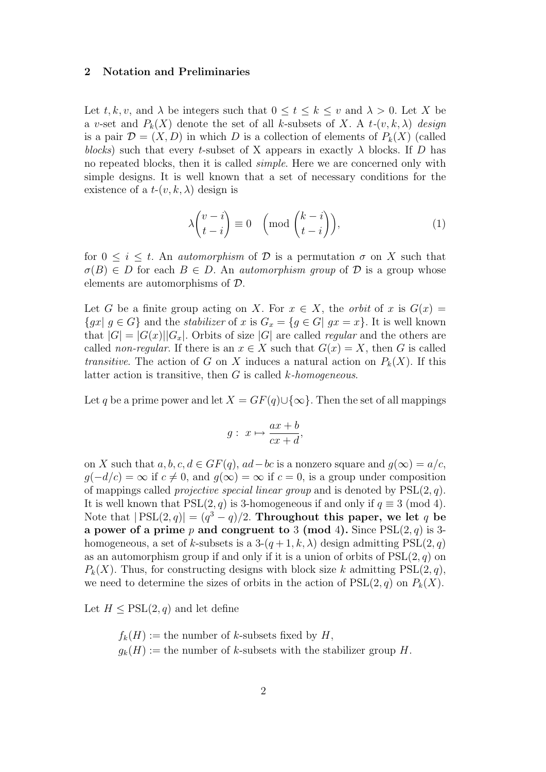#### 2 Notation and Preliminaries

Let  $t, k, v$ , and  $\lambda$  be integers such that  $0 \le t \le k \le v$  and  $\lambda > 0$ . Let X be a v-set and  $P_k(X)$  denote the set of all k-subsets of X. A t- $(v, k, \lambda)$  design is a pair  $\mathcal{D} = (X, D)$  in which D is a collection of elements of  $P_k(X)$  (called blocks) such that every t-subset of X appears in exactly  $\lambda$  blocks. If D has no repeated blocks, then it is called simple. Here we are concerned only with simple designs. It is well known that a set of necessary conditions for the existence of a  $t-(v, k, \lambda)$  design is

$$
\lambda \binom{v-i}{t-i} \equiv 0 \quad \left( \text{mod} \binom{k-i}{t-i} \right),\tag{1}
$$

for  $0 \leq i \leq t$ . An *automorphism* of D is a permutation  $\sigma$  on X such that  $\sigma(B) \in D$  for each  $B \in D$ . An *automorphism group* of  $D$  is a group whose elements are automorphisms of D.

Let G be a finite group acting on X. For  $x \in X$ , the *orbit* of x is  $G(x) =$  ${gx | g \in G}$  and the *stabilizer* of x is  $G_x = {g \in G | gx = x}$ . It is well known that  $|G| = |G(x)||G_x|$ . Orbits of size |G| are called *regular* and the others are called *non-regular*. If there is an  $x \in X$  such that  $G(x) = X$ , then G is called transitive. The action of G on X induces a natural action on  $P_k(X)$ . If this latter action is transitive, then  $G$  is called  $k$ -homogeneous.

Let q be a prime power and let  $X = GF(q) \cup {\infty}$ . Then the set of all mappings

$$
g: x \mapsto \frac{ax+b}{cx+d},
$$

on X such that  $a, b, c, d \in GF(q)$ ,  $ad-bc$  is a nonzero square and  $g(\infty) = a/c$ ,  $g(-d/c) = \infty$  if  $c \neq 0$ , and  $g(\infty) = \infty$  if  $c = 0$ , is a group under composition of mappings called *projective special linear group* and is denoted by  $PSL(2, q)$ . It is well known that  $PSL(2, q)$  is 3-homogeneous if and only if  $q \equiv 3 \pmod{4}$ . Note that  $|PSL(2,q)| = (q^3 - q)/2$ . Throughout this paper, we let q be a power of a prime p and congruent to 3 (mod 4). Since  $PSL(2, q)$  is 3homogeneous, a set of k-subsets is a  $3-(q+1, k, \lambda)$  design admitting  $PSL(2, q)$ as an automorphism group if and only if it is a union of orbits of  $PSL(2, q)$  on  $P_k(X)$ . Thus, for constructing designs with block size k admitting  $PSL(2, q)$ , we need to determine the sizes of orbits in the action of  $PSL(2, q)$  on  $P_k(X)$ .

Let  $H \leq \text{PSL}(2, q)$  and let define

 $f_k(H) :=$  the number of k-subsets fixed by H,  $g_k(H) :=$  the number of k-subsets with the stabilizer group H.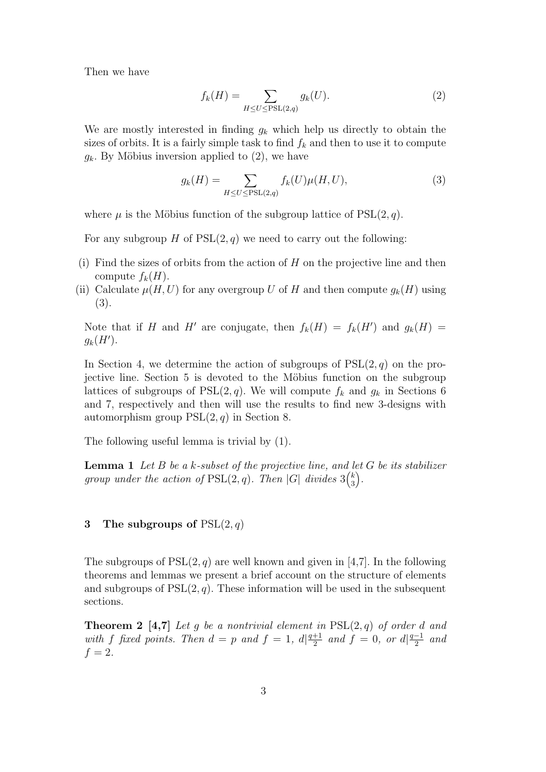Then we have

$$
f_k(H) = \sum_{H \le U \le \text{PSL}(2,q)} g_k(U). \tag{2}
$$

We are mostly interested in finding  $g_k$  which help us directly to obtain the sizes of orbits. It is a fairly simple task to find  $f_k$  and then to use it to compute  $g_k$ . By Möbius inversion applied to  $(2)$ , we have

$$
g_k(H) = \sum_{H \le U \le \text{PSL}(2,q)} f_k(U)\mu(H, U),\tag{3}
$$

where  $\mu$  is the Möbius function of the subgroup lattice of  $PSL(2, q)$ .

For any subgroup H of  $PSL(2, q)$  we need to carry out the following:

- (i) Find the sizes of orbits from the action of  $H$  on the projective line and then compute  $f_k(H)$ .
- (ii) Calculate  $\mu(H, U)$  for any overgroup U of H and then compute  $g_k(H)$  using (3).

Note that if H and H' are conjugate, then  $f_k(H) = f_k(H')$  and  $g_k(H) =$  $g_k(H')$ .

In Section 4, we determine the action of subgroups of  $PSL(2, q)$  on the projective line. Section 5 is devoted to the Möbius function on the subgroup lattices of subgroups of  $PSL(2, q)$ . We will compute  $f_k$  and  $g_k$  in Sections 6 and 7, respectively and then will use the results to find new 3-designs with automorphism group  $PSL(2, q)$  in Section 8.

The following useful lemma is trivial by (1).

**Lemma 1** Let B be a k-subset of the projective line, and let G be its stabilizer group under the action of  $PSL(2,q)$ . Then |G| divides  $3\binom{k}{3}$  $\left(\begin{matrix} k \ 3 \end{matrix}\right).$ 

#### 3 The subgroups of  $PSL(2,q)$

The subgroups of  $PSL(2,q)$  are well known and given in [4,7]. In the following theorems and lemmas we present a brief account on the structure of elements and subgroups of  $PSL(2, q)$ . These information will be used in the subsequent sections.

**Theorem 2** [4,7] Let g be a nontrivial element in  $PSL(2,q)$  of order d and with f fixed points. Then  $d = p$  and  $f = 1$ ,  $d\left| \frac{q+1}{2} \right|$  $\frac{+1}{2}$  and  $f = 0$ , or  $d\left|\frac{q-1}{2}\right|$  $rac{-1}{2}$  and  $f = 2$ .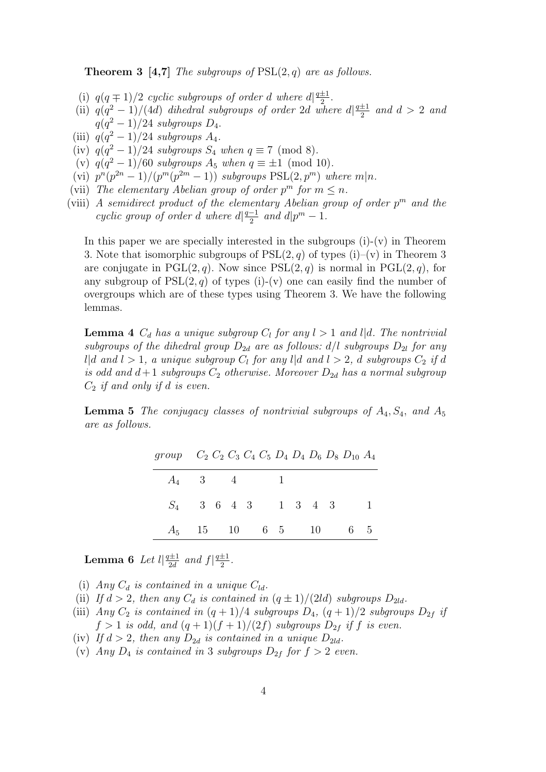**Theorem 3 [4,7]** The subgroups of  $PSL(2, q)$  are as follows.

- (i)  $q(q \mp 1)/2$  cyclic subgroups of order d where  $d\left|\frac{q \pm 1}{q}\right|$  $rac{\pm 1}{2}$ .
- (ii)  $q(q^2-1)/(4d)$  dihedral subgroups of order 2d where  $d\frac{q+1}{2}$  $\frac{\pm 1}{2}$  and  $d > 2$  and  $q(q^2-1)/24$  subgroups  $D_4$ .
- (iii)  $q(q^2-1)/24$  subgroups  $A_4$ .
- (iv)  $q(q^2-1)/24$  subgroups  $S_4$  when  $q \equiv 7 \pmod{8}$ .
- (v)  $q(q^2-1)/60$  subgroups  $A_5$  when  $q \equiv \pm 1 \pmod{10}$ .
- (vi)  $p^{n}(p^{2n}-1)/(p^{m}(p^{2m}-1))$  subgroups  $PSL(2, p^{m})$  where  $m|n$ .
- (vii) The elementary Abelian group of order  $p^m$  for  $m \leq n$ .
- (viii) A semidirect product of the elementary Abelian group of order  $p^m$  and the cyclic group of order d where  $d\left|\frac{q-1}{2}\right|$  $\frac{-1}{2}$  and  $d|p^m - 1$ .

In this paper we are specially interested in the subgroups  $(i)-(v)$  in Theorem 3. Note that isomorphic subgroups of  $PSL(2, q)$  of types (i)–(v) in Theorem 3 are conjugate in PGL $(2, q)$ . Now since PSL $(2, q)$  is normal in PGL $(2, q)$ , for any subgroup of  $PSL(2,q)$  of types (i)-(v) one can easily find the number of overgroups which are of these types using Theorem 3. We have the following lemmas.

**Lemma 4**  $C_d$  has a unique subgroup  $C_l$  for any  $l > 1$  and  $l | d$ . The nontrivial subgroups of the dihedral group  $D_{2d}$  are as follows:  $d/l$  subgroups  $D_{2l}$  for any  $l | d \text{ and } l > 1$ , a unique subgroup  $C_l$  for any  $l | d \text{ and } l > 2$ , d subgroups  $C_2$  if d is odd and  $d+1$  subgroups  $C_2$  otherwise. Moreover  $D_{2d}$  has a normal subgroup  $C_2$  if and only if d is even.

**Lemma 5** The conjugacy classes of nontrivial subgroups of  $A_4$ ,  $S_4$ , and  $A_5$ are as follows.

|  |             |  | group $C_2 C_2 C_3 C_4 C_5 D_4 D_4 D_6 D_8 D_{10} A_4$ |
|--|-------------|--|--------------------------------------------------------|
|  | $A_4$ 3 4 1 |  |                                                        |
|  |             |  | $S_4$ 3 6 4 3 1 3 4 3 1                                |
|  |             |  | $A_5$ 15 10 6 5 10 6 5                                 |

**Lemma 6** Let  $l \frac{q \pm 1}{2d}$  $\frac{q\pm 1}{2d}$  and  $f\left|\frac{q\pm 1}{2}\right|$  $rac{\pm 1}{2}$ .

(i) Any  $C_d$  is contained in a unique  $C_{ld}$ .

- (ii) If  $d > 2$ , then any  $C_d$  is contained in  $(q \pm 1)/(2ld)$  subgroups  $D_{2ld}$ .
- (iii) Any  $C_2$  is contained in  $(q+1)/4$  subgroups  $D_4$ ,  $(q+1)/2$  subgroups  $D_{2f}$  if  $f > 1$  is odd, and  $(q+1)(f+1)/(2f)$  subgroups  $D_{2f}$  if f is even.
- (iv) If  $d > 2$ , then any  $D_{2d}$  is contained in a unique  $D_{2ld}$ .
- (v) Any  $D_4$  is contained in 3 subgroups  $D_{2f}$  for  $f > 2$  even.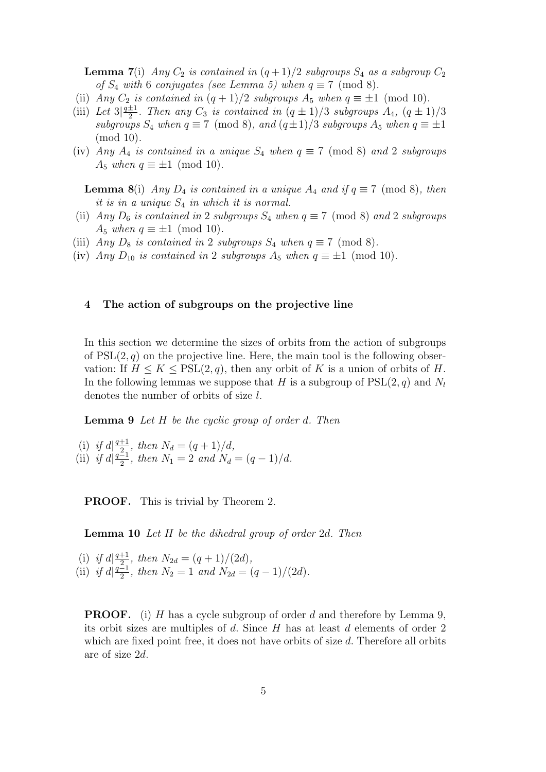**Lemma 7(i)** Any  $C_2$  is contained in  $(q+1)/2$  subgroups  $S_4$  as a subgroup  $C_2$ of  $S_4$  with 6 conjugates (see Lemma 5) when  $q \equiv 7 \pmod{8}$ .

- (ii) Any  $C_2$  is contained in  $(q+1)/2$  subgroups  $A_5$  when  $q \equiv \pm 1 \pmod{10}$ .
- $(iii)$  Let  $3|\frac{q+1}{2}$  $\frac{\pm 1}{2}$ . Then any  $C_3$  is contained in  $(q \pm 1)/3$  subgroups  $A_4$ ,  $(q \pm 1)/3$ subgroups  $S_4$  when  $q \equiv 7 \pmod{8}$ , and  $(q \pm 1)/3$  subgroups  $A_5$  when  $q \equiv \pm 1$ (mod 10).
- (iv) Any  $A_4$  is contained in a unique  $S_4$  when  $q \equiv 7 \pmod{8}$  and 2 subgroups  $A_5$  when  $q \equiv \pm 1 \pmod{10}$ .

**Lemma 8**(i) Any  $D_4$  is contained in a unique  $A_4$  and if  $q \equiv 7 \pmod{8}$ , then it is in a unique  $S_4$  in which it is normal.

- (ii) Any  $D_6$  is contained in 2 subgroups  $S_4$  when  $q \equiv 7 \pmod{8}$  and 2 subgroups A<sub>5</sub> when  $q \equiv \pm 1 \pmod{10}$ .
- (iii) Any  $D_8$  is contained in 2 subgroups  $S_4$  when  $q \equiv 7 \pmod{8}$ .
- (iv) Any  $D_{10}$  is contained in 2 subgroups  $A_5$  when  $q \equiv \pm 1 \pmod{10}$ .

#### 4 The action of subgroups on the projective line

In this section we determine the sizes of orbits from the action of subgroups of  $PSL(2, q)$  on the projective line. Here, the main tool is the following observation: If  $H \leq K \leq \text{PSL}(2,q)$ , then any orbit of K is a union of orbits of H. In the following lemmas we suppose that H is a subgroup of  $PSL(2, q)$  and  $N_l$ denotes the number of orbits of size l.

**Lemma 9** Let H be the cyclic group of order d. Then

(i) if  $d\left|\frac{q+1}{2}\right|$  $\frac{+1}{2}$ , then  $N_d = (q+1)/d$ ,  $(iii)$  if  $d\left|\frac{q-1}{2}\right|$  $\frac{2}{2}$ , then  $N_1 = 2$  and  $N_d = (q-1)/d$ .

PROOF. This is trivial by Theorem 2.

Lemma 10 Let H be the dihedral group of order 2d. Then

(i) if  $d\left|\frac{q+1}{2}\right|$  $\frac{+1}{2}$ , then  $N_{2d} = (q+1)/(2d)$ ,  $(iii)$  if  $d\left|\frac{q-1}{2}\right|$  $\frac{2}{2}$ , then  $N_2 = 1$  and  $N_{2d} = (q-1)/(2d)$ .

**PROOF.** (i) H has a cycle subgroup of order d and therefore by Lemma 9, its orbit sizes are multiples of d. Since  $H$  has at least d elements of order 2 which are fixed point free, it does not have orbits of size  $d$ . Therefore all orbits are of size 2d.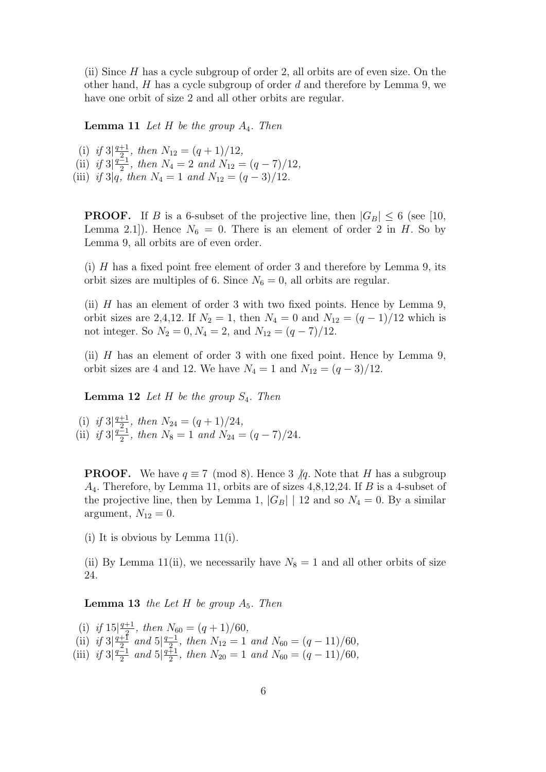(ii) Since  $H$  has a cycle subgroup of order 2, all orbits are of even size. On the other hand,  $H$  has a cycle subgroup of order  $d$  and therefore by Lemma 9, we have one orbit of size 2 and all other orbits are regular.

**Lemma 11** Let H be the group  $A_4$ . Then

(i) if  $3|\frac{q+1}{2}$  $\frac{+1}{2}$ , then  $N_{12} = (q+1)/12$ ,  $(iii)$  if  $3|\frac{q-1}{2}$  $\frac{2}{2}$ , then  $N_4 = 2$  and  $N_{12} = (q - 7)/12$ , (iii) if 3|q, then  $N_4 = 1$  and  $N_{12} = (q-3)/12$ .

**PROOF.** If B is a 6-subset of the projective line, then  $|G_B| \le 6$  (see [10, Lemma 2.1]). Hence  $N_6 = 0$ . There is an element of order 2 in H. So by Lemma 9, all orbits are of even order.

(i)  $H$  has a fixed point free element of order 3 and therefore by Lemma 9, its orbit sizes are multiples of 6. Since  $N_6 = 0$ , all orbits are regular.

(ii)  $H$  has an element of order 3 with two fixed points. Hence by Lemma 9, orbit sizes are 2,4,12. If  $N_2 = 1$ , then  $N_4 = 0$  and  $N_{12} = (q-1)/12$  which is not integer. So  $N_2 = 0, N_4 = 2$ , and  $N_{12} = (q - 7)/12$ .

(ii)  $H$  has an element of order 3 with one fixed point. Hence by Lemma 9, orbit sizes are 4 and 12. We have  $N_4 = 1$  and  $N_{12} = (q-3)/12$ .

**Lemma 12** Let  $H$  be the group  $S_4$ . Then

(i) if  $3|\frac{q+1}{2}$  $\frac{+1}{2}$ , then  $N_{24} = (q+1)/24$ ,  $(iii)$  if  $3|\frac{q-1}{2}$  $\frac{2}{2}$ , then  $N_8 = 1$  and  $N_{24} = (q - 7)/24$ .

**PROOF.** We have  $q \equiv 7 \pmod{8}$ . Hence 3  $/q$ . Note that H has a subgroup  $A_4$ . Therefore, by Lemma 11, orbits are of sizes 4,8,12,24. If  $B$  is a 4-subset of the projective line, then by Lemma 1,  $|G_B|$  | 12 and so  $N_4 = 0$ . By a similar argument,  $N_{12} = 0$ .

(i) It is obvious by Lemma 11(i).

(ii) By Lemma 11(ii), we necessarily have  $N_8 = 1$  and all other orbits of size 24.

**Lemma 13** the Let H be group  $A_5$ . Then

(i) if  $15\frac{q+1}{2}$  $\frac{+1}{2}$ , then  $N_{60} = (q+1)/60$ ,  $(i)$  if  $3\frac{q+1}{2}$  $\frac{+1}{2}$  and  $5\frac{q-1}{2}$  $\frac{1}{2}$ , then  $N_{12} = 1$  and  $N_{60} = (q - 11)/60$ ,  $(iii)$  if  $3|\frac{q-1}{2}$  $rac{z}{2}$  and  $5\frac{q+1}{2}$  $\frac{4}{2}$ , then  $N_{20} = 1$  and  $N_{60} = (q - 11)/60$ ,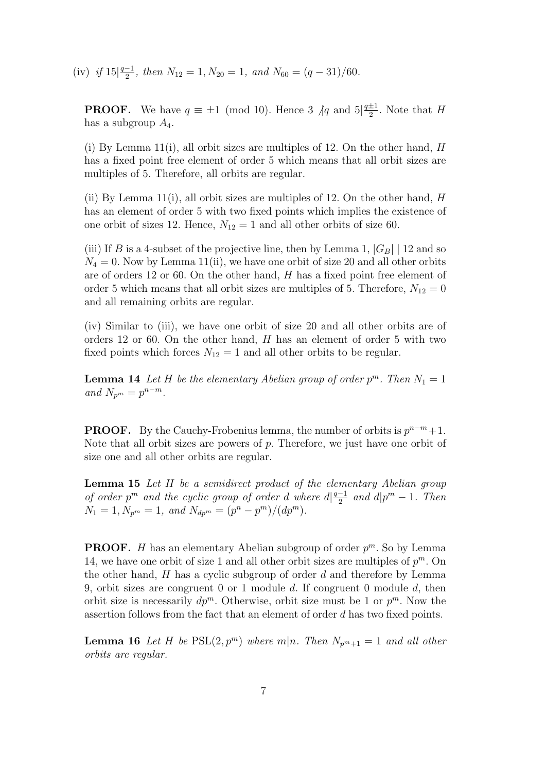$(iv)$  if  $15|\frac{q-1}{2}$  $\frac{-1}{2}$ , then  $N_{12} = 1, N_{20} = 1$ , and  $N_{60} = (q - 31)/60$ .

**PROOF.** We have  $q \equiv \pm 1 \pmod{10}$ . Hence 3  $/q$  and  $5\frac{q \pm 1}{2}$  $\frac{\pm 1}{2}$ . Note that H has a subgroup  $A_4$ .

(i) By Lemma 11(i), all orbit sizes are multiples of 12. On the other hand,  $H$ has a fixed point free element of order 5 which means that all orbit sizes are multiples of 5. Therefore, all orbits are regular.

(ii) By Lemma 11(i), all orbit sizes are multiples of 12. On the other hand,  $H$ has an element of order 5 with two fixed points which implies the existence of one orbit of sizes 12. Hence,  $N_{12} = 1$  and all other orbits of size 60.

(iii) If B is a 4-subset of the projective line, then by Lemma 1,  $|G_B|$  | 12 and so  $N_4 = 0$ . Now by Lemma 11(ii), we have one orbit of size 20 and all other orbits are of orders 12 or 60. On the other hand, H has a fixed point free element of order 5 which means that all orbit sizes are multiples of 5. Therefore,  $N_{12} = 0$ and all remaining orbits are regular.

(iv) Similar to (iii), we have one orbit of size 20 and all other orbits are of orders 12 or 60. On the other hand, H has an element of order 5 with two fixed points which forces  $N_{12} = 1$  and all other orbits to be regular.

**Lemma 14** Let H be the elementary Abelian group of order  $p^m$ . Then  $N_1 = 1$ and  $N_{p^m} = p^{n-m}$ .

**PROOF.** By the Cauchy-Frobenius lemma, the number of orbits is  $p^{n-m}+1$ . Note that all orbit sizes are powers of  $p$ . Therefore, we just have one orbit of size one and all other orbits are regular.

**Lemma 15** Let H be a semidirect product of the elementary Abelian group of order  $p^m$  and the cyclic group of order d where  $d\left|\frac{q-1}{2}\right|$  $\frac{-1}{2}$  and  $d|p^m - 1$ . Then  $N_1 = 1, N_{p^m} = 1, \text{ and } N_{dp^m} = (p^n - p^m)/(dp^m).$ 

**PROOF.** *H* has an elementary Abelian subgroup of order  $p^m$ . So by Lemma 14, we have one orbit of size 1 and all other orbit sizes are multiples of  $p^m$ . On the other hand,  $H$  has a cyclic subgroup of order  $d$  and therefore by Lemma 9, orbit sizes are congruent 0 or 1 module  $d$ . If congruent 0 module  $d$ , then orbit size is necessarily  $dp^m$ . Otherwise, orbit size must be 1 or  $p^m$ . Now the assertion follows from the fact that an element of order d has two fixed points.

**Lemma 16** Let H be  $PSL(2, p^m)$  where  $m|n$ . Then  $N_{p^m+1} = 1$  and all other orbits are regular.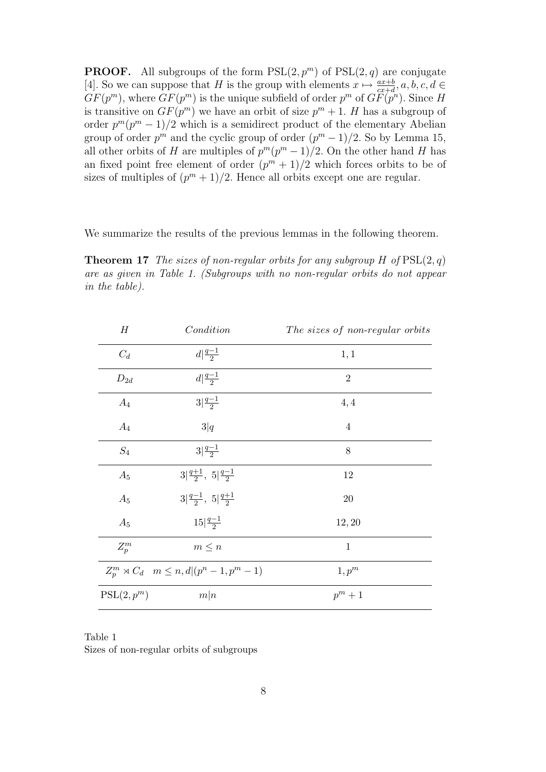**PROOF.** All subgroups of the form  $PSL(2, p^m)$  of  $PSL(2, q)$  are conjugate [4]. So we can suppose that H is the group with elements  $x \mapsto \frac{ax+b}{cx+d}, a, b, c, d \in$  $GF(p^m)$ , where  $GF(p^m)$  is the unique subfield of order  $p^m$  of  $GF(p^n)$ . Since H is transitive on  $GF(p^m)$  we have an orbit of size  $p^m + 1$ . H has a subgroup of order  $p^{m}(p^{m}-1)/2$  which is a semidirect product of the elementary Abelian group of order  $p^m$  and the cyclic group of order  $(p^m-1)/2$ . So by Lemma 15, all other orbits of H are multiples of  $p^m(p^m-1)/2$ . On the other hand H has an fixed point free element of order  $(p^m + 1)/2$  which forces orbits to be of sizes of multiples of  $(p^m + 1)/2$ . Hence all orbits except one are regular.

We summarize the results of the previous lemmas in the following theorem.

**Theorem 17** The sizes of non-regular orbits for any subgroup H of  $PSL(2, q)$ are as given in Table 1. (Subgroups with no non-regular orbits do not appear in the table).

| H            | Condition                                                  | The sizes of non-regular orbits |
|--------------|------------------------------------------------------------|---------------------------------|
| $C_d$        | $d\left \frac{q-1}{2}\right $                              | 1,1                             |
| $D_{2d}$     | $d\frac{q-1}{2}$                                           | $\overline{2}$                  |
| $A_4$        | $3\frac{q-1}{2}$                                           | 4,4                             |
| $A_4$        | 3 q                                                        | 4                               |
| $S_4$        | $3\frac{q-1}{2}$                                           | 8                               |
| $A_5$        | $3 \frac{q+1}{2}, 5 \frac{q-1}{2}$                         | 12                              |
| $A_5$        | $3 \frac{q-1}{2}, 5 \frac{q+1}{2}$                         | 20                              |
| $A_5$        | $15\frac{q-1}{2}$                                          | 12, 20                          |
| $Z_p^m$      | $m \leq n$                                                 | $\mathbf{1}$                    |
|              | $Z_n^m \rtimes C_d \quad m \leq n, d   (p^n - 1, p^m - 1)$ | $1, p^m$                        |
| $PSL(2,p^m)$ | m n                                                        | $p^m+1$                         |

Table 1 Sizes of non-regular orbits of subgroups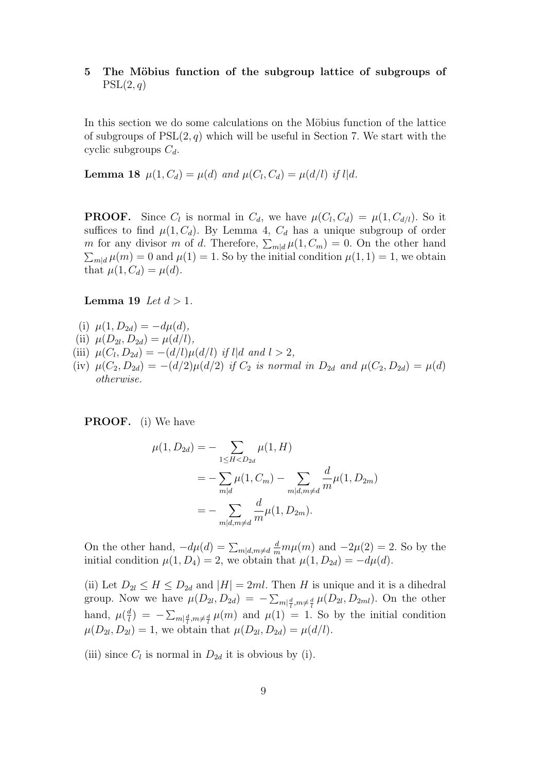# 5 The Möbius function of the subgroup lattice of subgroups of  $PSL(2,q)$

In this section we do some calculations on the Möbius function of the lattice of subgroups of  $PSL(2, q)$  which will be useful in Section 7. We start with the cyclic subgroups  $C_d$ .

**Lemma 18**  $\mu(1, C_d) = \mu(d)$  and  $\mu(C_l, C_d) = \mu(d/l)$  if l|d.

**PROOF.** Since  $C_l$  is normal in  $C_d$ , we have  $\mu(C_l, C_d) = \mu(1, C_{d/l})$ . So it suffices to find  $\mu(1, C_d)$ . By Lemma 4,  $C_d$  has a unique subgroup of order m for any divisor m of d. Therefore,  $\sum_{m|d} \mu(1, C_m) = 0$ . On the other hand  $\sum_{m|d} \mu(m) = 0$  and  $\mu(1) = 1$ . So by the initial condition  $\mu(1, 1) = 1$ , we obtain that  $\mu(1, C_d) = \mu(d)$ .

#### Lemma 19 Let  $d > 1$ .

- (i)  $\mu(1, D_{2d}) = -d\mu(d),$
- (ii)  $\mu(D_{2l}, D_{2d}) = \mu(d/l),$
- (iii)  $\mu(C_l, D_{2d}) = -(d/l)\mu(d/l)$  if l|d and  $l > 2$ ,
- (iv)  $\mu(C_2, D_{2d}) = -(d/2)\mu(d/2)$  if  $C_2$  is normal in  $D_{2d}$  and  $\mu(C_2, D_{2d}) = \mu(d)$ otherwise.

PROOF. (i) We have

$$
\mu(1, D_{2d}) = -\sum_{1 \le H < D_{2d}} \mu(1, H)
$$
  
= 
$$
-\sum_{m|d} \mu(1, C_m) - \sum_{m|d, m \ne d} \frac{d}{m} \mu(1, D_{2m})
$$
  
= 
$$
-\sum_{m|d, m \ne d} \frac{d}{m} \mu(1, D_{2m}).
$$

On the other hand,  $-d\mu(d) = \sum_{m|d,m \neq d} \frac{d}{m} m \mu(m)$  and  $-2\mu(2) = 2$ . So by the initial condition  $\mu(1, D_4) = 2$ , we obtain that  $\mu(1, D_{2d}) = -d\mu(d)$ .

(ii) Let  $D_{2l} \leq H \leq D_{2d}$  and  $|H| = 2ml$ . Then H is unique and it is a dihedral group. Now we have  $\mu(D_{2l}, D_{2d}) = -\sum_{m|\frac{d}{l}, m \neq \frac{d}{l}} \mu(D_{2l}, D_{2ml})$ . On the other hand,  $\mu(\frac{d}{l})$  $\frac{d}{dt}$ ) =  $-\sum_{m|\frac{d}{l},m\neq\frac{d}{l}}\mu(m)$  and  $\mu(1)$  = 1. So by the initial condition  $\mu(D_{2l}, D_{2l}) = 1$ , we obtain that  $\mu(D_{2l}, D_{2d}) = \mu(d/l)$ .

(iii) since  $C_l$  is normal in  $D_{2d}$  it is obvious by (i).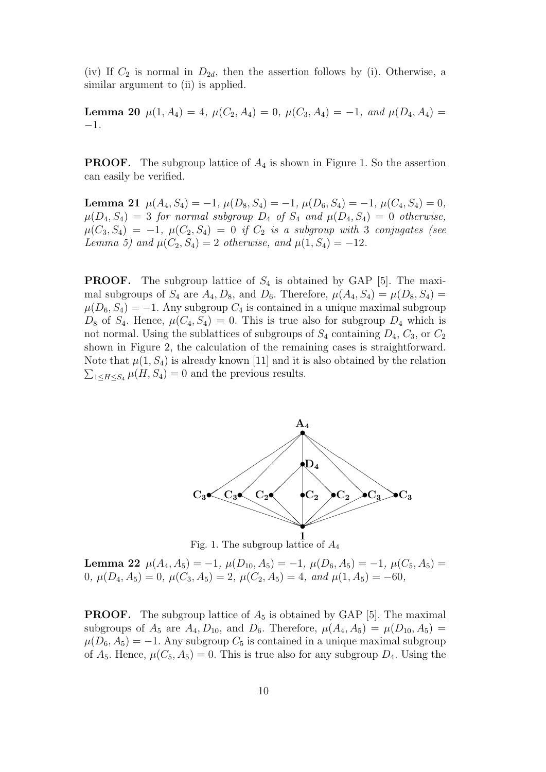(iv) If  $C_2$  is normal in  $D_{2d}$ , then the assertion follows by (i). Otherwise, a similar argument to (ii) is applied.

Lemma 20  $\mu(1, A_4) = 4$ ,  $\mu(C_2, A_4) = 0$ ,  $\mu(C_3, A_4) = -1$ , and  $\mu(D_4, A_4) =$ −1.

**PROOF.** The subgroup lattice of  $A_4$  is shown in Figure 1. So the assertion can easily be verified.

Lemma 21  $\mu(A_4, S_4) = -1$ ,  $\mu(D_8, S_4) = -1$ ,  $\mu(D_6, S_4) = -1$ ,  $\mu(C_4, S_4) = 0$ ,  $\mu(D_4, S_4) = 3$  for normal subgroup  $D_4$  of  $S_4$  and  $\mu(D_4, S_4) = 0$  otherwise,  $\mu(C_3, S_4) = -1$ ,  $\mu(C_2, S_4) = 0$  if  $C_2$  is a subgroup with 3 conjugates (see Lemma 5) and  $\mu(C_2, S_4) = 2$  otherwise, and  $\mu(1, S_4) = -12$ .

**PROOF.** The subgroup lattice of  $S_4$  is obtained by GAP [5]. The maximal subgroups of  $S_4$  are  $A_4, D_8$ , and  $D_6$ . Therefore,  $\mu(A_4, S_4) = \mu(D_8, S_4)$  $\mu(D_6, S_4) = -1$ . Any subgroup  $C_4$  is contained in a unique maximal subgroup  $D_8$  of  $S_4$ . Hence,  $\mu(C_4, S_4) = 0$ . This is true also for subgroup  $D_4$  which is not normal. Using the sublattices of subgroups of  $S_4$  containing  $D_4$ ,  $C_3$ , or  $C_2$ shown in Figure 2, the calculation of the remaining cases is straightforward. Note that  $\mu(1, S_4)$  is already known [11] and it is also obtained by the relation  $\sum_{1 \leq H \leq S_4} \mu(H, S_4) = 0$  and the previous results.



Fig. 1. The subgroup lattice of  $A_4$ 

Lemma 22  $\mu(A_4, A_5) = -1$ ,  $\mu(D_{10}, A_5) = -1$ ,  $\mu(D_6, A_5) = -1$ ,  $\mu(C_5, A_5) =$ 0,  $\mu(D_4, A_5) = 0$ ,  $\mu(C_3, A_5) = 2$ ,  $\mu(C_2, A_5) = 4$ , and  $\mu(1, A_5) = -60$ ,

**PROOF.** The subgroup lattice of  $A_5$  is obtained by GAP [5]. The maximal subgroups of  $A_5$  are  $A_4, D_{10}$ , and  $D_6$ . Therefore,  $\mu(A_4, A_5) = \mu(D_{10}, A_5) =$  $\mu(D_6, A_5) = -1$ . Any subgroup  $C_5$  is contained in a unique maximal subgroup of  $A_5$ . Hence,  $\mu(C_5, A_5) = 0$ . This is true also for any subgroup  $D_4$ . Using the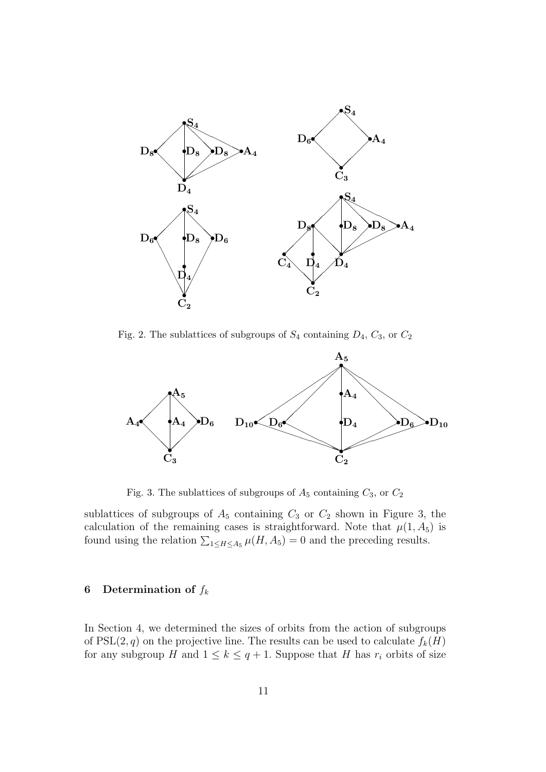

Fig. 2. The sublattices of subgroups of  $S_4$  containing  $D_4$ ,  $C_3$ , or  $C_2$ 



Fig. 3. The sublattices of subgroups of  $A_5$  containing  $C_3$ , or  $C_2$ 

sublattices of subgroups of  $A_5$  containing  $C_3$  or  $C_2$  shown in Figure 3, the calculation of the remaining cases is straightforward. Note that  $\mu(1, A_5)$  is found using the relation  $\sum_{1 \le H \le A_5} \mu(H, A_5) = 0$  and the preceding results.

## 6 Determination of  $f_k$

In Section 4, we determined the sizes of orbits from the action of subgroups of  $PSL(2, q)$  on the projective line. The results can be used to calculate  $f_k(H)$ for any subgroup H and  $1 \leq k \leq q+1$ . Suppose that H has  $r_i$  orbits of size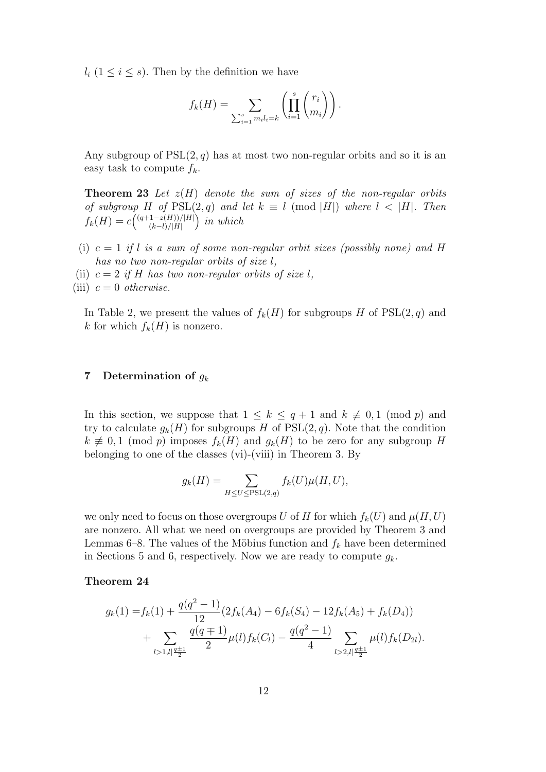$l_i$  ( $1 \leq i \leq s$ ). Then by the definition we have

$$
f_k(H) = \sum_{\sum_{i=1}^s m_i l_i = k} \left( \prod_{i=1}^s \binom{r_i}{m_i} \right).
$$

Any subgroup of  $PSL(2, q)$  has at most two non-regular orbits and so it is an easy task to compute  $f_k$ .

**Theorem 23** Let  $z(H)$  denote the sum of sizes of the non-regular orbits of subgroup H of  $PSL(2,q)$  and let  $k \equiv l \pmod{|H|}$  where  $l \leq |H|$ . Then  $f_k(H) = c \binom{(q+1-z(H))/|H|}{(k-l)/|H|}$  $\binom{(k-l)/|H|}{(k-l)/|H|}$  in which

- (i)  $c = 1$  if l is a sum of some non-regular orbit sizes (possibly none) and H has no two non-regular orbits of size l,
- (ii)  $c = 2$  if H has two non-regular orbits of size l,

(iii)  $c = 0$  otherwise.

In Table 2, we present the values of  $f_k(H)$  for subgroups H of  $PSL(2,q)$  and k for which  $f_k(H)$  is nonzero.

## 7 Determination of  $g_k$

In this section, we suppose that  $1 \leq k \leq q+1$  and  $k \not\equiv 0,1 \pmod{p}$  and try to calculate  $g_k(H)$  for subgroups H of PSL $(2, q)$ . Note that the condition  $k \not\equiv 0, 1 \pmod{p}$  imposes  $f_k(H)$  and  $g_k(H)$  to be zero for any subgroup H belonging to one of the classes (vi)-(viii) in Theorem 3. By

$$
g_k(H) = \sum_{H \le U \le \text{PSL}(2,q)} f_k(U)\mu(H, U),
$$

we only need to focus on those overgroups U of H for which  $f_k(U)$  and  $\mu(H, U)$ are nonzero. All what we need on overgroups are provided by Theorem 3 and Lemmas 6–8. The values of the Möbius function and  $f_k$  have been determined in Sections 5 and 6, respectively. Now we are ready to compute  $q_k$ .

### Theorem 24

$$
g_k(1) = f_k(1) + \frac{q(q^2 - 1)}{12} (2f_k(A_4) - 6f_k(S_4) - 12f_k(A_5) + f_k(D_4))
$$
  
+ 
$$
\sum_{l>1, l \mid \frac{q+1}{2}} \frac{q(q \mp 1)}{2} \mu(l) f_k(C_l) - \frac{q(q^2 - 1)}{4} \sum_{l>2, l \mid \frac{q+1}{2}} \mu(l) f_k(D_{2l}).
$$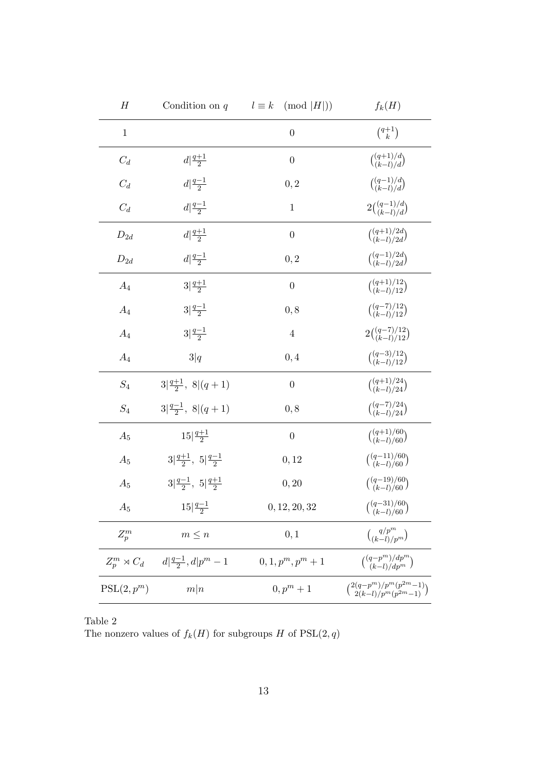| H                   | Condition on $q$                                  | $l \equiv k \pmod{ H }$ | $f_k(H)$                                                |
|---------------------|---------------------------------------------------|-------------------------|---------------------------------------------------------|
| $\mathbf{1}$        |                                                   | $\overline{0}$          | $\binom{q+1}{k}$                                        |
| $C_d$               | $d\left \frac{q+1}{2}\right $                     | $\overline{0}$          | $\binom{(q+1)/d}{(k-l)/d}$                              |
| $C_d$               | $d\left \frac{q-1}{2}\right $                     | 0, 2                    | $\binom{(q-1)/d}{(k-l)/d}$                              |
| $C_d$               | $d\left \frac{q-1}{2}\right $                     | $\mathbf{1}$            | $2\binom{(q-1)/d}{(k-l)/d}$                             |
| $\mathcal{D}_{2d}$  | $d\left \frac{q+1}{2}\right $                     | $\overline{0}$          | $\binom{(q+1)/2d}{(k-l)/2d}$                            |
| $\mathcal{D}_{2d}$  | $d\frac{q-1}{2}$                                  | 0, 2                    | $\binom{(q-1)/2d}{(k-l)/2d}$                            |
| $A_4$               | $3\frac{q+1}{2}$                                  | $\overline{0}$          | $\binom{(q+1)/12}{(k-l)/12}$                            |
| $A_4$               | $3\frac{q-1}{2}$                                  | 0, 8                    | $\binom{(q-7)/12}{(k-l)/12}$                            |
| $A_4$               | $3\frac{q-1}{2}$                                  | $\,4\,$                 | $2\binom{(q-7)/12}{(k-l)/12}$                           |
| $A_4$               | 3 q                                               | 0,4                     | $\binom{(q-3)/12}{(k-l)/12}$                            |
| $S_4$               | $3\left \frac{q+1}{2},\right.8\left (q+1)\right.$ | $\overline{0}$          | $\binom{(q+1)/24}{(k-l)/24}$                            |
| $\mathcal{S}_4$     | $3\left \frac{q-1}{2},\right.8\left (q+1)\right)$ | 0, 8                    | $\binom{(q-7)/24}{(k-l)/24}$                            |
| $A_5$               | $15\frac{q+1}{2}$                                 | $\overline{0}$          | $\binom{(q+1)/60}{(k-l)/60}$                            |
| $A_5$               | $3 \frac{q+1}{2}, 5 \frac{q-1}{2}$                | 0, 12                   | $\binom{(q-11)/60}{(k-l)/60}$                           |
| $A_5$               | $3 \frac{q-1}{2}, 5 \frac{q+1}{2}$                | 0, 20                   | $\binom{(q-19)/60}{(k-l)/60}$                           |
| $A_5$               | $15\left \frac{q-1}{2}\right.$                    | 0, 12, 20, 32           | $\binom{(q-31)/60}{(k-l)/60}$                           |
| $Z_p^m$             | $m \leq n$                                        | 0, 1                    | $\binom{q/p^m}{(k-l)/p^m}$                              |
| $Z_p^m \rtimes C_d$ | $d\left \frac{q-1}{2},d\right p^{m}-1$            | $0, 1, p^m, p^m + 1$    | $\binom{(q-p^m)/dp^m}{(k-l)/dp^m}$                      |
| $PSL(2,p^m)$        | m n                                               | $0, p^m + 1$            | ${2(q-p^m)/p^m(p^{2m}-1) \choose 2(k-l)/p^m(p^{2m}-1)}$ |

Table 2 The nonzero values of  $f_k(H)$  for subgroups H of  $PSL(2, q)$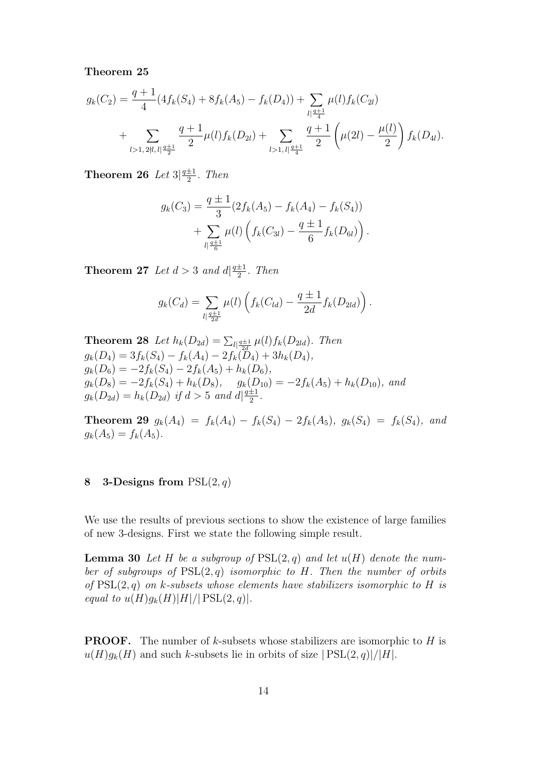Theorem 25

$$
g_k(C_2) = \frac{q+1}{4} (4f_k(S_4) + 8f_k(A_5) - f_k(D_4)) + \sum_{\substack{l \mid \frac{q+1}{4} \\ l>1, \, l \mid \frac{q+1}{4}}} \mu(l) f_k(C_{2l}) + \sum_{\substack{l > 1, \, l \mid \frac{q+1}{4}}} \frac{q+1}{2} \left(\mu(2l) - \frac{\mu(l)}{2}\right) f_k(D_{4l}).
$$

Theorem 26 Let  $3\frac{q\pm1}{2}$  $rac{\pm 1}{2}$ . Then

$$
g_k(C_3) = \frac{q \pm 1}{3} (2f_k(A_5) - f_k(A_4) - f_k(S_4)) + \sum_{l \mid \frac{q \pm 1}{6}} \mu(l) \left( f_k(C_{3l}) - \frac{q \pm 1}{6} f_k(D_{6l}) \right).
$$

**Theorem 27** Let  $d > 3$  and  $d\left|\frac{q+1}{q}\right|$  $rac{\pm 1}{2}$ . Then

$$
g_k(C_d) = \sum_{l \mid \frac{q \pm 1}{2d}} \mu(l) \left( f_k(C_{ld}) - \frac{q \pm 1}{2d} f_k(D_{2ld}) \right).
$$

**Theorem 28** Let  $h_k(D_{2d}) = \sum_{l \mid \frac{q \pm 1}{2d}} \mu(l) f_k(D_{2ld})$ . Then  $g_k(D_4) = 3f_k(S_4) - f_k(A_4) - 2f_k(D_4) + 3h_k(D_4),$  $g_k(D_6) = -2f_k(S_4) - 2f_k(A_5) + h_k(D_6),$  $g_k(D_8) = -2f_k(S_4) + h_k(D_8), \quad g_k(D_{10}) = -2f_k(A_5) + h_k(D_{10}),$  and  $g_k(D_{2d}) = h_k(D_{2d})$  if  $d > 5$  and  $d\sqrt{\frac{q+1}{2}}$  $rac{\pm 1}{2}$ .

**Theorem 29**  $g_k(A_4) = f_k(A_4) - f_k(S_4) - 2f_k(A_5), g_k(S_4) = f_k(S_4),$  and  $g_k(A_5) = f_k(A_5).$ 

# 8 3-Designs from  $PSL(2,q)$

We use the results of previous sections to show the existence of large families of new 3-designs. First we state the following simple result.

**Lemma 30** Let H be a subgroup of  $PSL(2,q)$  and let  $u(H)$  denote the number of subgroups of  $PSL(2,q)$  isomorphic to H. Then the number of orbits of  $PSL(2,q)$  on k-subsets whose elements have stabilizers isomorphic to H is equal to  $u(H)g_k(H)|H|/|\text{PSL}(2,q)|$ .

**PROOF.** The number of  $k$ -subsets whose stabilizers are isomorphic to  $H$  is  $u(H)g_k(H)$  and such k-subsets lie in orbits of size  $|PSL(2, q)|/|H|$ .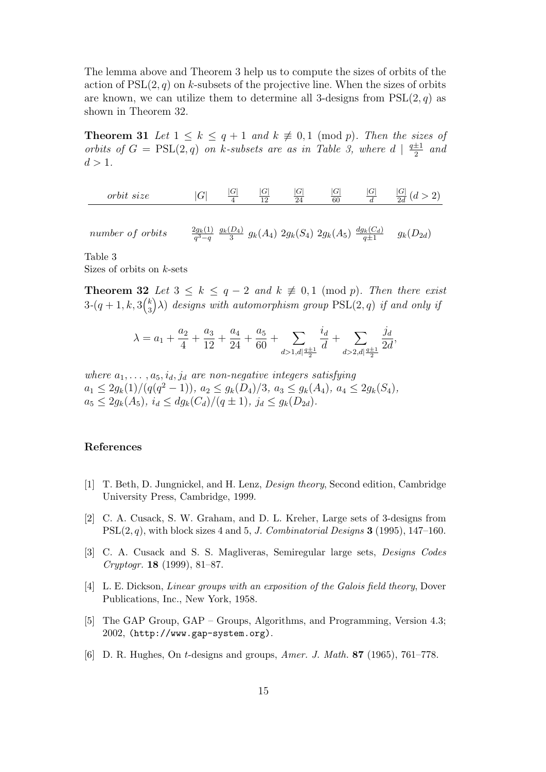The lemma above and Theorem 3 help us to compute the sizes of orbits of the action of  $PSL(2, q)$  on k-subsets of the projective line. When the sizes of orbits are known, we can utilize them to determine all 3-designs from  $PSL(2, q)$  as shown in Theorem 32.

**Theorem 31** Let  $1 \leq k \leq q+1$  and  $k \not\equiv 0,1 \pmod{p}$ . Then the sizes of orbits of  $G = \text{PSL}(2,q)$  on k-subsets are as in Table 3, where  $d \mid \frac{q+1}{2}$  $rac{\pm 1}{2}$  and  $d > 1$ .

| $\alpha$ r<br>$c \circ \gamma$<br>$-$ na<br>vw<br>$\sim$ C | -<br>-<br>◡ | ◡ | $\sim$<br>∽<br>10<br>-- | $\sim$<br>◡ | ◡<br>$\alpha$<br>ou | ∽ | $\overline{\phantom{0}}$<br>$\sim$<br>za |
|------------------------------------------------------------|-------------|---|-------------------------|-------------|---------------------|---|------------------------------------------|
|                                                            |             |   |                         |             |                     |   |                                          |

number of orbits  $\frac{2g_k(1)}{q^3-q}$   $\frac{g_k(D_4)}{3}$  $\frac{(D_4)}{3}$   $g_k(A_4)$   $2g_k(S_4)$   $2g_k(A_5)$   $\frac{dg_k(C_d)}{q\pm 1}$   $g_k(D_{2d})$ 

Table 3

Sizes of orbits on  $k$ -sets

**Theorem 32** Let  $3 \leq k \leq q-2$  and  $k \not\equiv 0,1 \pmod{p}$ . Then there exist  $3-(q+1,k,3\binom{k}{3})$  $\binom{k}{3}$  $\lambda$ ) designs with automorphism group  $\mathrm{PSL}(2,q)$  if and only if

$$
\lambda = a_1 + \frac{a_2}{4} + \frac{a_3}{12} + \frac{a_4}{24} + \frac{a_5}{60} + \sum_{d > 1, d \mid \frac{q \pm 1}{2}} \frac{i_d}{d} + \sum_{d > 2, d \mid \frac{q \pm 1}{2}} \frac{j_d}{2d},
$$

where  $a_1, \ldots, a_5, i_d, j_d$  are non-negative integers satisfying  $a_1 \leq 2g_k(1)/(q(q^2-1)), a_2 \leq g_k(D_4)/3, a_3 \leq g_k(A_4), a_4 \leq 2g_k(S_4),$  $a_5 \leq 2g_k(A_5), i_d \leq dg_k(C_d)/(q \pm 1), j_d \leq g_k(D_{2d}).$ 

#### References

- [1] T. Beth, D. Jungnickel, and H. Lenz, Design theory, Second edition, Cambridge University Press, Cambridge, 1999.
- [2] C. A. Cusack, S. W. Graham, and D. L. Kreher, Large sets of 3-designs from  $PSL(2, q)$ , with block sizes 4 and 5, J. Combinatorial Designs 3 (1995), 147–160.
- [3] C. A. Cusack and S. S. Magliveras, Semiregular large sets, Designs Codes Cryptogr. 18 (1999), 81–87.
- [4] L. E. Dickson, Linear groups with an exposition of the Galois field theory, Dover Publications, Inc., New York, 1958.
- [5] The GAP Group, GAP Groups, Algorithms, and Programming, Version 4.3; 2002, (http://www.gap-system.org).
- [6] D. R. Hughes, On t-designs and groups, Amer. J. Math. 87 (1965), 761–778.